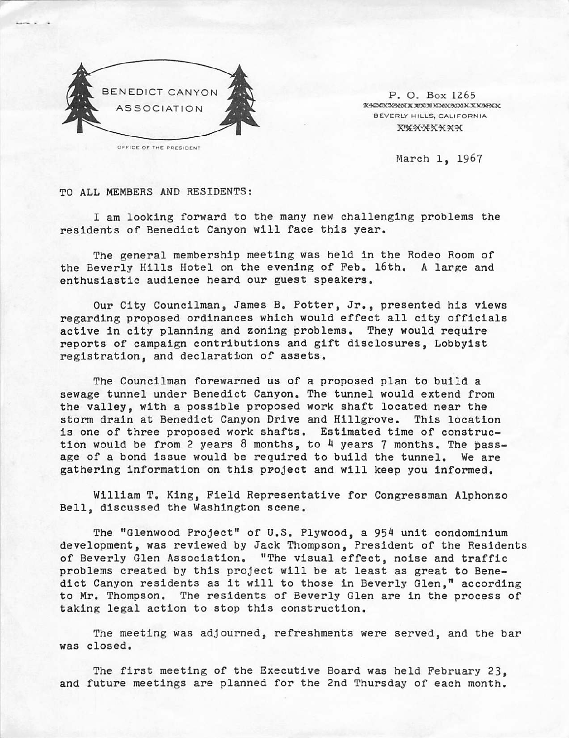

OFFICE OF THE PRESIDENT

P. O. Box 1265 X-KGCX3KMM X XYXX XDEX BOM X X XAFNOX BEVERLY HILLS, CALIFORNIA XEXXXXXXX

March 1, 1967

TO ALL MEMBERS AND RESIDENTS:

I am looking forward to the many new challenging problems the residents of Benedict Canyon will face this year.

The general membership meeting was held in the Rodeo Room of the Beverly Hills Hotel on the evening of Feb. 16th. A large and enthusiastic audience heard our guest speakers.

Our City Councilman, James B. Potter, Jr., presented his views regarding proposed ordinances which would effect all city officials active in city planning and zoning problems. They would require reports of campaign contributions and gift disclosures, Lobbyist registration, and declaration of assets.

The Councilman forewarned us of a proposed plan to build a sewage tunnel under Benedict Canyon. The tunnel would extend from the valley, with a possible proposed work shaft located near the storm drain at Benedict Canyon Drive and Hillgrove. This location is one of three proposed work shafts. Estimated time of construction would be from 2 years 8 months, to 4 years 7 months. The pass age of a bond issue would be required to build the tunnel. We are gathering information on this project and will keep you informed.

William T. King, Field Representative for Congressman Alphonzo Bell, discussed the Washington scene.

The "Glenwood Project" of U.S. Plywood, a 954 unit condominium development, was reviewed by Jack Thompson, President of the Residents of Beverly Glen Association. "The visual effect, noise and traffic problems created by this project will be at least as great to Bene dict Canyon residents as it will to those in Beverly Glen," according to Mr. Thompson. The residents of Beverly Glen are in the process of taking legal action to stop this construction.

The meeting was adjourned, refreshments were served, and the bar was closed.

The first meeting of the Executive Board was held February 23, and future meetings are planned for the 2nd Thursday of each month.